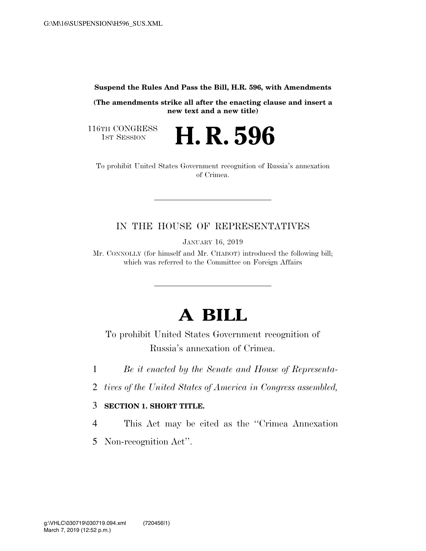**Suspend the Rules And Pass the Bill, H.R. 596, with Amendments** 

**(The amendments strike all after the enacting clause and insert a new text and a new title)** 

116TH CONGRESS<br>1st Session

H. R. 596

To prohibit United States Government recognition of Russia's annexation of Crimea.

## IN THE HOUSE OF REPRESENTATIVES

JANUARY 16, 2019

Mr. CONNOLLY (for himself and Mr. CHABOT) introduced the following bill; which was referred to the Committee on Foreign Affairs

## **A BILL**

To prohibit United States Government recognition of Russia's annexation of Crimea.

1 *Be it enacted by the Senate and House of Representa-*

2 *tives of the United States of America in Congress assembled,* 

## 3 **SECTION 1. SHORT TITLE.**

4 This Act may be cited as the ''Crimea Annexation

5 Non-recognition Act''.